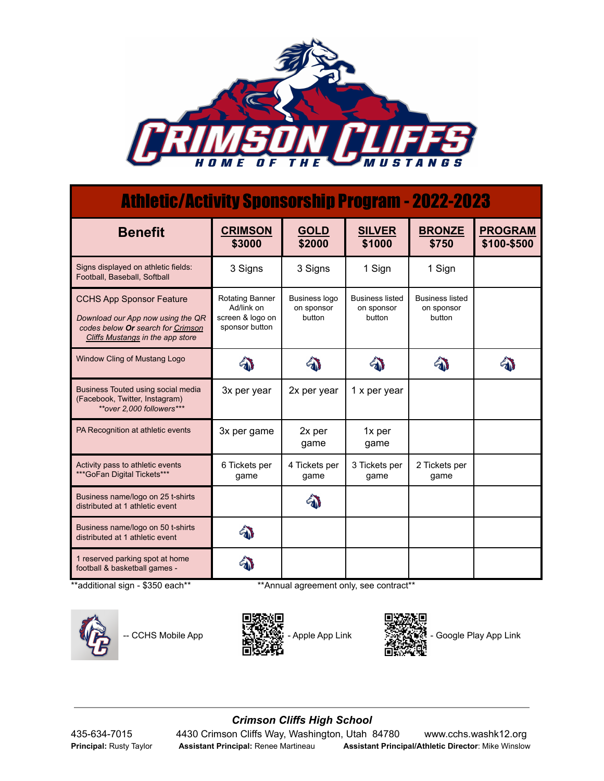

## Athletic/Activity Sponsorship Program - 2022-2023

| <b>Benefit</b>                                                                                                                                | <b>CRIMSON</b><br>\$3000                                                   | <b>GOLD</b><br>\$2000                 | <b>SILVER</b><br>\$1000                        | <b>BRONZE</b><br>\$750                         | <b>PROGRAM</b><br>\$100-\$500 |
|-----------------------------------------------------------------------------------------------------------------------------------------------|----------------------------------------------------------------------------|---------------------------------------|------------------------------------------------|------------------------------------------------|-------------------------------|
| Signs displayed on athletic fields:<br>Football, Baseball, Softball                                                                           | 3 Signs                                                                    | 3 Signs                               | 1 Sign                                         | 1 Sign                                         |                               |
| <b>CCHS App Sponsor Feature</b><br>Download our App now using the QR<br>codes below Or search for Crimson<br>Cliffs Mustangs in the app store | <b>Rotating Banner</b><br>Ad/link on<br>screen & logo on<br>sponsor button | Business logo<br>on sponsor<br>button | <b>Business listed</b><br>on sponsor<br>button | <b>Business listed</b><br>on sponsor<br>button |                               |
| Window Cling of Mustang Logo                                                                                                                  |                                                                            |                                       |                                                |                                                |                               |
| Business Touted using social media<br>(Facebook, Twitter, Instagram)<br>**over 2.000 followers***                                             | 3x per year                                                                | 2x per year                           | 1 x per year                                   |                                                |                               |
| PA Recognition at athletic events                                                                                                             | 3x per game                                                                | 2x per<br>game                        | 1x per<br>game                                 |                                                |                               |
| Activity pass to athletic events<br>*** GoFan Digital Tickets***                                                                              | 6 Tickets per<br>game                                                      | 4 Tickets per<br>game                 | 3 Tickets per<br>game                          | 2 Tickets per<br>game                          |                               |
| Business name/logo on 25 t-shirts<br>distributed at 1 athletic event                                                                          |                                                                            |                                       |                                                |                                                |                               |
| Business name/logo on 50 t-shirts<br>distributed at 1 athletic event                                                                          |                                                                            |                                       |                                                |                                                |                               |
| 1 reserved parking spot at home<br>football & basketball games -                                                                              |                                                                            |                                       |                                                |                                                |                               |

\*\*additional sign - \$350 each\*\* \*\*Annual agreement only, see contract\*\*







-- CCHS Mobile App  $\mathbb{R}$  Massey - Apple App Link - Google Play App Link

## *Crimson Cliffs High School* 435-634-7015 4430 Crimson Cliffs Way, Washington, Utah 84780 www.cchs.washk12.org **Principal:** Rusty Taylor **Assistant Principal:** Renee Martineau **Assistant Principal/Athletic Director**: Mike Winslow